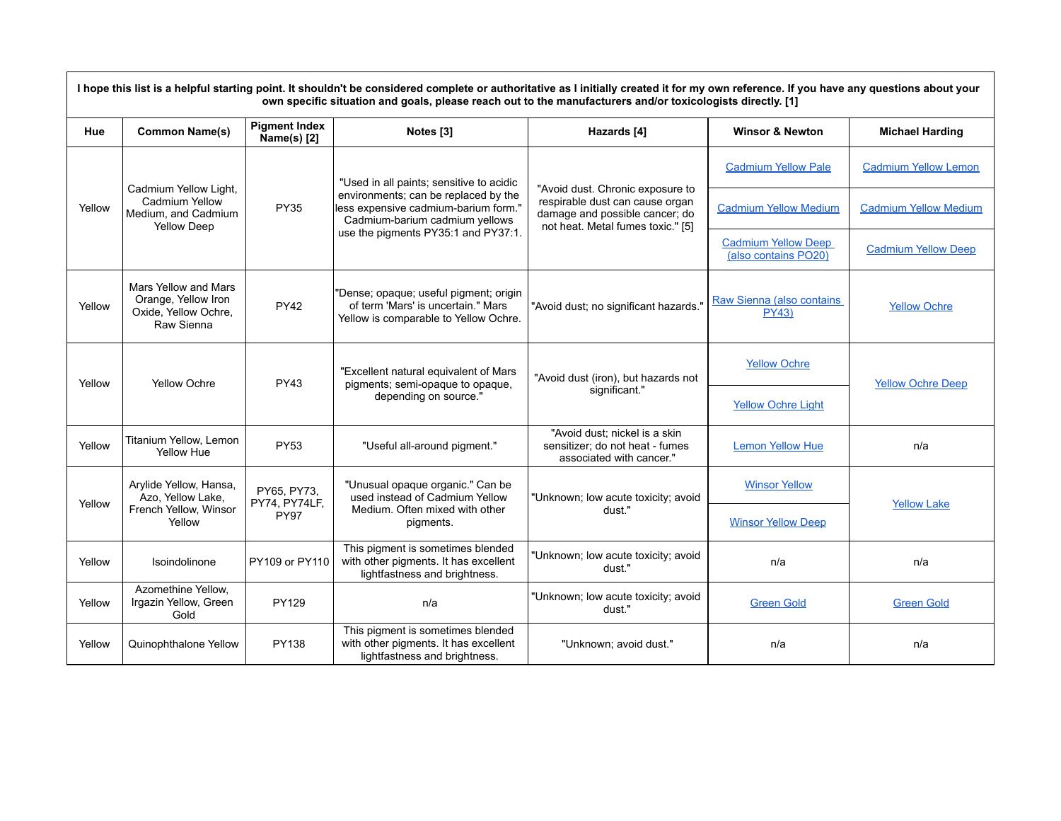| I hope this list is a helpful starting point. It shouldn't be considered complete or authoritative as I initially created it for my own reference. If you have any questions about your<br>own specific situation and goals, please reach out to the manufacturers and/or toxicologists directly. [1] |                                                                                      |                                             |                                                                                                                                                                                                   |                                                                                                                                            |                                                    |                              |  |
|-------------------------------------------------------------------------------------------------------------------------------------------------------------------------------------------------------------------------------------------------------------------------------------------------------|--------------------------------------------------------------------------------------|---------------------------------------------|---------------------------------------------------------------------------------------------------------------------------------------------------------------------------------------------------|--------------------------------------------------------------------------------------------------------------------------------------------|----------------------------------------------------|------------------------------|--|
| Hue                                                                                                                                                                                                                                                                                                   | <b>Common Name(s)</b>                                                                | <b>Pigment Index</b><br>Name(s) [2]         | Notes <sup>[3]</sup>                                                                                                                                                                              | Hazards [4]                                                                                                                                | <b>Winsor &amp; Newton</b>                         | <b>Michael Harding</b>       |  |
| Yellow                                                                                                                                                                                                                                                                                                | Cadmium Yellow Light,<br>Cadmium Yellow<br>Medium, and Cadmium<br><b>Yellow Deep</b> | <b>PY35</b>                                 | "Used in all paints; sensitive to acidic<br>environments; can be replaced by the<br>less expensive cadmium-barium form."<br>Cadmium-barium cadmium yellows<br>use the pigments PY35:1 and PY37:1. | "Avoid dust. Chronic exposure to<br>respirable dust can cause organ<br>damage and possible cancer; do<br>not heat. Metal fumes toxic." [5] | <b>Cadmium Yellow Pale</b>                         | <b>Cadmium Yellow Lemon</b>  |  |
|                                                                                                                                                                                                                                                                                                       |                                                                                      |                                             |                                                                                                                                                                                                   |                                                                                                                                            | <b>Cadmium Yellow Medium</b>                       | <b>Cadmium Yellow Medium</b> |  |
|                                                                                                                                                                                                                                                                                                       |                                                                                      |                                             |                                                                                                                                                                                                   |                                                                                                                                            | <b>Cadmium Yellow Deep</b><br>(also contains PO20) | <b>Cadmium Yellow Deep</b>   |  |
| Yellow                                                                                                                                                                                                                                                                                                | Mars Yellow and Mars<br>Orange, Yellow Iron<br>Oxide, Yellow Ochre,<br>Raw Sienna    | <b>PY42</b>                                 | "Dense; opaque; useful pigment; origin<br>of term 'Mars' is uncertain." Mars<br>Yellow is comparable to Yellow Ochre.                                                                             | "Avoid dust; no significant hazards."                                                                                                      | Raw Sienna (also contains<br><b>PY43)</b>          | <b>Yellow Ochre</b>          |  |
| Yellow                                                                                                                                                                                                                                                                                                | Yellow Ochre                                                                         | <b>PY43</b>                                 | "Excellent natural equivalent of Mars<br>pigments; semi-opaque to opaque,<br>depending on source."                                                                                                | "Avoid dust (iron), but hazards not<br>significant."                                                                                       | <b>Yellow Ochre</b>                                | <b>Yellow Ochre Deep</b>     |  |
|                                                                                                                                                                                                                                                                                                       |                                                                                      |                                             |                                                                                                                                                                                                   |                                                                                                                                            | <b>Yellow Ochre Light</b>                          |                              |  |
| Yellow                                                                                                                                                                                                                                                                                                | Titanium Yellow, Lemon<br>Yellow Hue                                                 | <b>PY53</b>                                 | "Useful all-around pigment."                                                                                                                                                                      | "Avoid dust; nickel is a skin<br>sensitizer; do not heat - fumes<br>associated with cancer."                                               | <b>Lemon Yellow Hue</b>                            | n/a                          |  |
|                                                                                                                                                                                                                                                                                                       | Arylide Yellow, Hansa,<br>Azo, Yellow Lake,<br>French Yellow, Winsor<br>Yellow       | PY65, PY73,<br>PY74, PY74LF,<br><b>PY97</b> | "Unusual opaque organic." Can be<br>used instead of Cadmium Yellow<br>Medium. Often mixed with other<br>pigments.                                                                                 | "Unknown; low acute toxicity; avoid<br>dust."                                                                                              | <b>Winsor Yellow</b>                               | <b>Yellow Lake</b>           |  |
| Yellow                                                                                                                                                                                                                                                                                                |                                                                                      |                                             |                                                                                                                                                                                                   |                                                                                                                                            | <b>Winsor Yellow Deep</b>                          |                              |  |
| Yellow                                                                                                                                                                                                                                                                                                | Isoindolinone                                                                        | PY109 or PY110                              | This pigment is sometimes blended<br>with other pigments. It has excellent<br>lightfastness and brightness.                                                                                       | "Unknown; low acute toxicity; avoid<br>dust."                                                                                              | n/a                                                | n/a                          |  |
| Yellow                                                                                                                                                                                                                                                                                                | Azomethine Yellow,<br>Irgazin Yellow, Green<br>Gold                                  | PY129                                       | n/a                                                                                                                                                                                               | "Unknown; low acute toxicity; avoid<br>dust."                                                                                              | <b>Green Gold</b>                                  | <b>Green Gold</b>            |  |
| Yellow                                                                                                                                                                                                                                                                                                | Quinophthalone Yellow                                                                | PY138                                       | This pigment is sometimes blended<br>with other pigments. It has excellent<br>lightfastness and brightness.                                                                                       | "Unknown; avoid dust."                                                                                                                     | n/a                                                | n/a                          |  |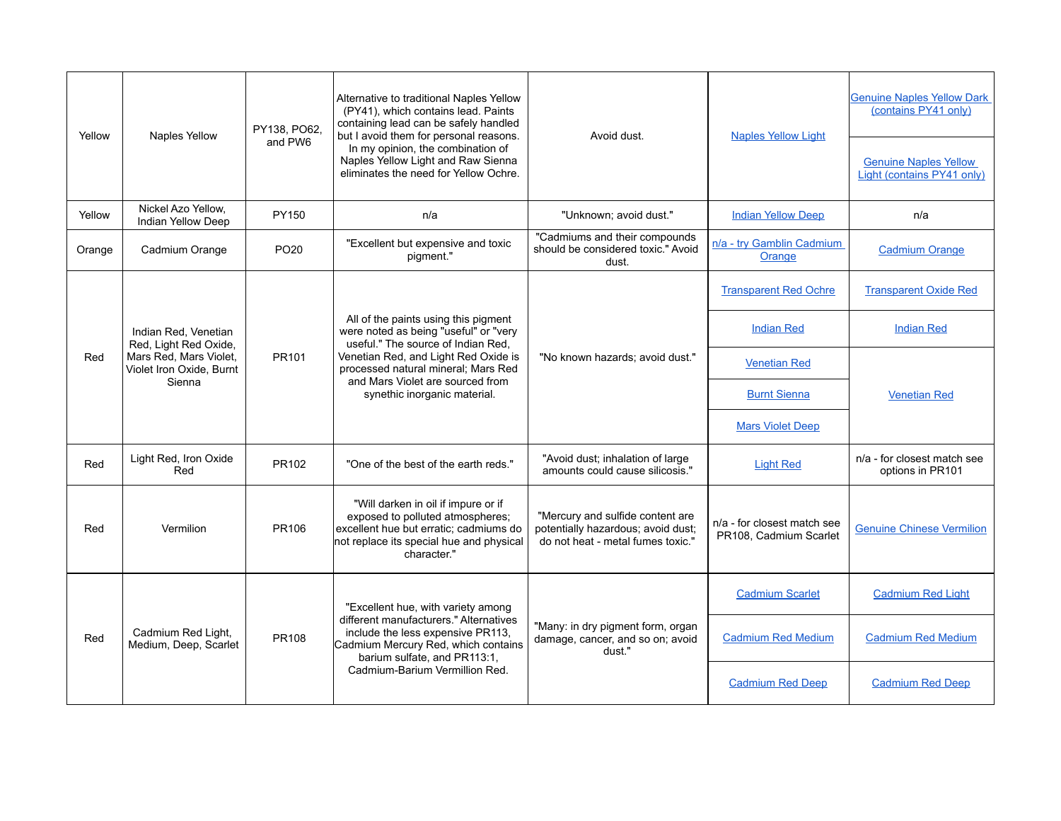| Yellow | Naples Yellow                                                                                                 | PY138, PO62,<br>and PW6 | Alternative to traditional Naples Yellow<br>(PY41), which contains lead. Paints<br>containing lead can be safely handled<br>but I avoid them for personal reasons.<br>In my opinion, the combination of<br>Naples Yellow Light and Raw Sienna<br>eliminates the need for Yellow Ochre. | Avoid dust.                                                                                                 | <b>Naples Yellow Light</b>                            | <b>Genuine Naples Yellow Dark</b><br>(contains PY41 only)  |
|--------|---------------------------------------------------------------------------------------------------------------|-------------------------|----------------------------------------------------------------------------------------------------------------------------------------------------------------------------------------------------------------------------------------------------------------------------------------|-------------------------------------------------------------------------------------------------------------|-------------------------------------------------------|------------------------------------------------------------|
|        |                                                                                                               |                         |                                                                                                                                                                                                                                                                                        |                                                                                                             |                                                       | <b>Genuine Naples Yellow</b><br>Light (contains PY41 only) |
| Yellow | Nickel Azo Yellow,<br>Indian Yellow Deep                                                                      | PY150                   | n/a                                                                                                                                                                                                                                                                                    | "Unknown; avoid dust."                                                                                      | <b>Indian Yellow Deep</b>                             | n/a                                                        |
| Orange | Cadmium Orange                                                                                                | PO <sub>20</sub>        | "Excellent but expensive and toxic<br>pigment."                                                                                                                                                                                                                                        | "Cadmiums and their compounds<br>should be considered toxic." Avoid<br>dust.                                | n/a - try Gamblin Cadmium<br>Orange                   | <b>Cadmium Orange</b>                                      |
|        |                                                                                                               |                         |                                                                                                                                                                                                                                                                                        |                                                                                                             | <b>Transparent Red Ochre</b>                          | <b>Transparent Oxide Red</b>                               |
|        | Indian Red, Venetian<br>Red, Light Red Oxide,<br>Mars Red, Mars Violet,<br>Violet Iron Oxide, Burnt<br>Sienna |                         | All of the paints using this pigment<br>were noted as being "useful" or "very<br>useful." The source of Indian Red,<br>Venetian Red, and Light Red Oxide is<br>processed natural mineral; Mars Red<br>and Mars Violet are sourced from<br>synethic inorganic material.                 | "No known hazards; avoid dust."                                                                             | <b>Indian Red</b>                                     | <b>Indian Red</b>                                          |
| Red    |                                                                                                               | PR101                   |                                                                                                                                                                                                                                                                                        |                                                                                                             | <b>Venetian Red</b>                                   |                                                            |
|        |                                                                                                               |                         |                                                                                                                                                                                                                                                                                        |                                                                                                             | <b>Burnt Sienna</b>                                   | <b>Venetian Red</b>                                        |
|        |                                                                                                               |                         |                                                                                                                                                                                                                                                                                        |                                                                                                             | <b>Mars Violet Deep</b>                               |                                                            |
| Red    | Light Red, Iron Oxide<br>Red                                                                                  | PR102                   | "One of the best of the earth reds."                                                                                                                                                                                                                                                   | "Avoid dust; inhalation of large<br>amounts could cause silicosis."                                         | <b>Light Red</b>                                      | n/a - for closest match see<br>options in PR101            |
| Red    | Vermilion                                                                                                     | PR106                   | "Will darken in oil if impure or if<br>exposed to polluted atmospheres;<br>excellent hue but erratic; cadmiums do<br>not replace its special hue and physical<br>character."                                                                                                           | "Mercury and sulfide content are<br>potentially hazardous; avoid dust;<br>do not heat - metal fumes toxic." | n/a - for closest match see<br>PR108, Cadmium Scarlet | <b>Genuine Chinese Vermilion</b>                           |
|        | Cadmium Red Light,<br>Medium, Deep, Scarlet                                                                   | PR108                   | "Excellent hue, with variety among<br>different manufacturers." Alternatives<br>include the less expensive PR113.<br>Cadmium Mercury Red, which contains<br>barium sulfate, and PR113:1,<br>Cadmium-Barium Vermillion Red.                                                             | "Many: in dry pigment form, organ<br>damage, cancer, and so on; avoid<br>dust."                             | <b>Cadmium Scarlet</b>                                | <b>Cadmium Red Light</b>                                   |
| Red    |                                                                                                               |                         |                                                                                                                                                                                                                                                                                        |                                                                                                             | <b>Cadmium Red Medium</b>                             | <b>Cadmium Red Medium</b>                                  |
|        |                                                                                                               |                         |                                                                                                                                                                                                                                                                                        |                                                                                                             | <b>Cadmium Red Deep</b>                               | <b>Cadmium Red Deep</b>                                    |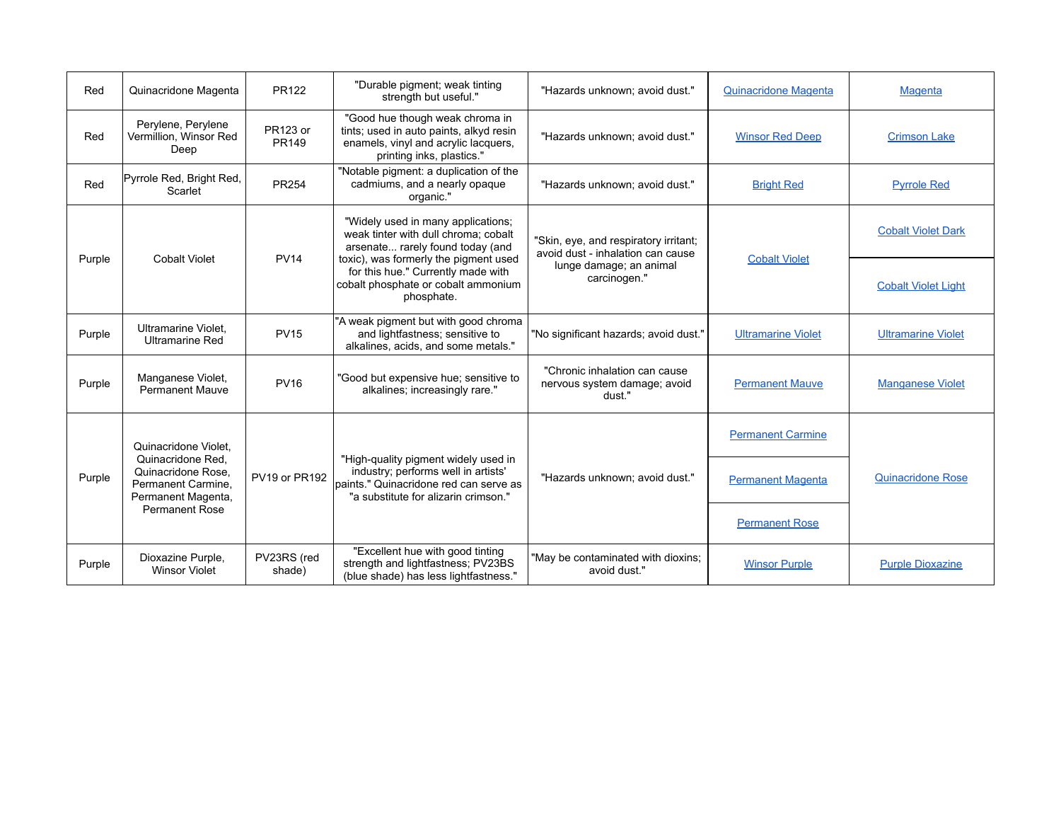| Red    | Quinacridone Magenta                                                                                                                 | <b>PR122</b>             | "Durable pigment; weak tinting<br>strength but useful."                                                                                                                                                                                            | "Hazards unknown; avoid dust."                                                                                        | Quinacridone Magenta      | <b>Magenta</b>             |
|--------|--------------------------------------------------------------------------------------------------------------------------------------|--------------------------|----------------------------------------------------------------------------------------------------------------------------------------------------------------------------------------------------------------------------------------------------|-----------------------------------------------------------------------------------------------------------------------|---------------------------|----------------------------|
| Red    | Perylene, Perylene<br>Vermillion, Winsor Red<br>Deep                                                                                 | <b>PR123 or</b><br>PR149 | "Good hue though weak chroma in<br>tints; used in auto paints, alkyd resin<br>enamels, vinyl and acrylic lacquers,<br>printing inks, plastics."                                                                                                    | "Hazards unknown; avoid dust."                                                                                        | <b>Winsor Red Deep</b>    | <b>Crimson Lake</b>        |
| Red    | Pyrrole Red, Bright Red,<br>Scarlet                                                                                                  | <b>PR254</b>             | "Notable pigment: a duplication of the<br>cadmiums, and a nearly opaque<br>organic."                                                                                                                                                               | "Hazards unknown; avoid dust."                                                                                        | <b>Bright Red</b>         | <b>Pyrrole Red</b>         |
| Purple | <b>Cobalt Violet</b>                                                                                                                 | <b>PV14</b>              | "Widely used in many applications;<br>weak tinter with dull chroma: cobalt<br>arsenate rarely found today (and<br>toxic), was formerly the pigment used<br>for this hue." Currently made with<br>cobalt phosphate or cobalt ammonium<br>phosphate. | "Skin, eye, and respiratory irritant;<br>avoid dust - inhalation can cause<br>lunge damage; an animal<br>carcinogen." | <b>Cobalt Violet</b>      | <b>Cobalt Violet Dark</b>  |
|        |                                                                                                                                      |                          |                                                                                                                                                                                                                                                    |                                                                                                                       |                           | <b>Cobalt Violet Light</b> |
| Purple | Ultramarine Violet,<br><b>Ultramarine Red</b>                                                                                        | <b>PV15</b>              | "A weak pigment but with good chroma<br>and lightfastness; sensitive to<br>alkalines, acids, and some metals."                                                                                                                                     | "No significant hazards; avoid dust."                                                                                 | <b>Ultramarine Violet</b> | <b>Ultramarine Violet</b>  |
| Purple | Manganese Violet,<br><b>Permanent Mauve</b>                                                                                          | <b>PV16</b>              | "Good but expensive hue; sensitive to<br>alkalines; increasingly rare."                                                                                                                                                                            | "Chronic inhalation can cause<br>nervous system damage; avoid<br>dust."                                               | <b>Permanent Mauve</b>    | <b>Manganese Violet</b>    |
|        | Quinacridone Violet.<br>Quinacridone Red.<br>Quinacridone Rose.<br>Permanent Carmine.<br>Permanent Magenta,<br><b>Permanent Rose</b> | PV19 or PR192            | "High-quality pigment widely used in<br>industry; performs well in artists'<br>Ipaints." Quinacridone red can serve as<br>"a substitute for alizarin crimson."                                                                                     | "Hazards unknown; avoid dust."                                                                                        | <b>Permanent Carmine</b>  | <b>Quinacridone Rose</b>   |
| Purple |                                                                                                                                      |                          |                                                                                                                                                                                                                                                    |                                                                                                                       | <b>Permanent Magenta</b>  |                            |
|        |                                                                                                                                      |                          |                                                                                                                                                                                                                                                    |                                                                                                                       | <b>Permanent Rose</b>     |                            |
| Purple | Dioxazine Purple,<br><b>Winsor Violet</b>                                                                                            | PV23RS (red<br>shade)    | "Excellent hue with good tinting<br>strength and lightfastness; PV23BS<br>(blue shade) has less lightfastness."                                                                                                                                    | "May be contaminated with dioxins;<br>avoid dust."                                                                    | <b>Winsor Purple</b>      | <b>Purple Dioxazine</b>    |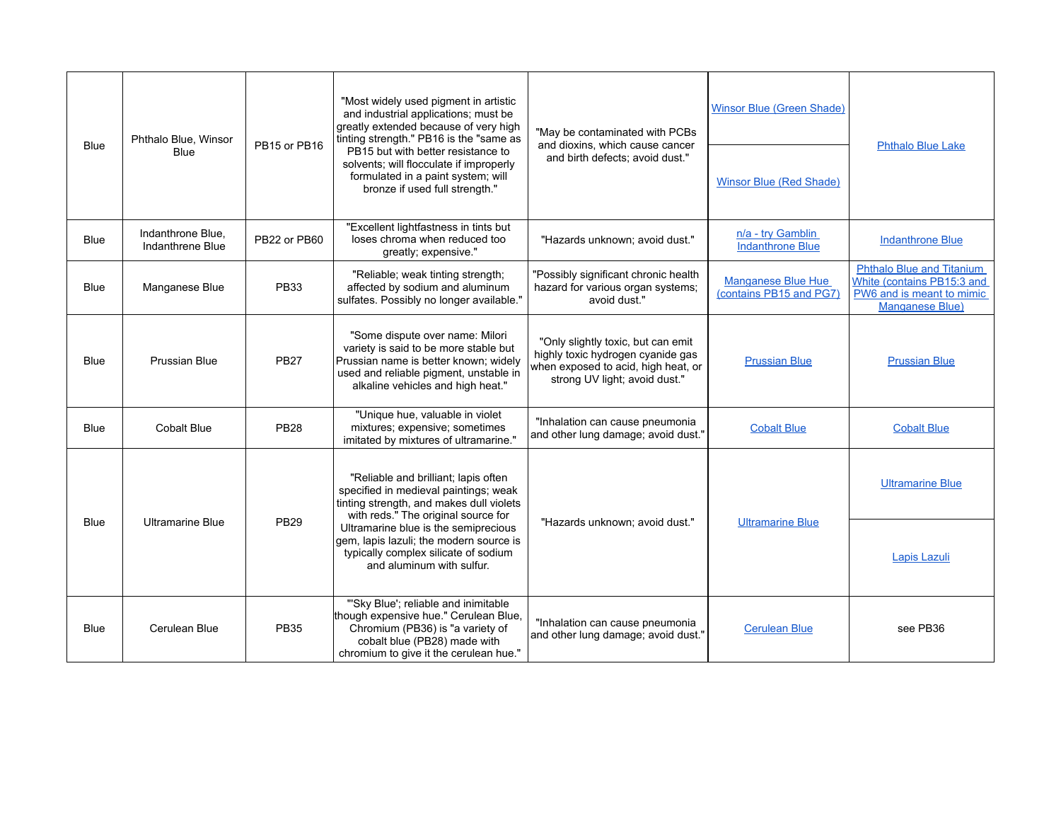|             | Phthalo Blue, Winsor<br>Blue          | PB15 or PB16 | "Most widely used pigment in artistic<br>and industrial applications; must be<br>greatly extended because of very high<br>tinting strength." PB16 is the "same as<br>PB15 but with better resistance to<br>solvents; will flocculate if improperly<br>formulated in a paint system; will<br>bronze if used full strength." | "May be contaminated with PCBs<br>and dioxins, which cause cancer<br>and birth defects; avoid dust."                                            | <b>Winsor Blue (Green Shade)</b>              | <b>Phthalo Blue Lake</b>                                                                                       |
|-------------|---------------------------------------|--------------|----------------------------------------------------------------------------------------------------------------------------------------------------------------------------------------------------------------------------------------------------------------------------------------------------------------------------|-------------------------------------------------------------------------------------------------------------------------------------------------|-----------------------------------------------|----------------------------------------------------------------------------------------------------------------|
| <b>Blue</b> |                                       |              |                                                                                                                                                                                                                                                                                                                            |                                                                                                                                                 | <b>Winsor Blue (Red Shade)</b>                |                                                                                                                |
| <b>Blue</b> | Indanthrone Blue,<br>Indanthrene Blue | PB22 or PB60 | "Excellent lightfastness in tints but<br>loses chroma when reduced too<br>greatly; expensive."                                                                                                                                                                                                                             | "Hazards unknown; avoid dust."                                                                                                                  | n/a - try Gamblin<br><b>Indanthrone Blue</b>  | <b>Indanthrone Blue</b>                                                                                        |
| <b>Blue</b> | Manganese Blue                        | <b>PB33</b>  | "Reliable; weak tinting strength;<br>affected by sodium and aluminum<br>sulfates. Possibly no longer available."                                                                                                                                                                                                           | "Possibly significant chronic health<br>hazard for various organ systems;<br>avoid dust."                                                       | Manganese Blue Hue<br>(contains PB15 and PG7) | <b>Phthalo Blue and Titanium</b><br>White (contains PB15:3 and<br>PW6 and is meant to mimic<br>Manganese Blue) |
| <b>Blue</b> | Prussian Blue                         | <b>PB27</b>  | "Some dispute over name: Milori<br>variety is said to be more stable but<br>Prussian name is better known; widely<br>used and reliable pigment, unstable in<br>alkaline vehicles and high heat."                                                                                                                           | "Only slightly toxic, but can emit<br>highly toxic hydrogen cyanide gas<br>when exposed to acid, high heat, or<br>strong UV light; avoid dust." | <b>Prussian Blue</b>                          | <b>Prussian Blue</b>                                                                                           |
| <b>Blue</b> | Cobalt Blue                           | <b>PB28</b>  | "Unique hue, valuable in violet<br>mixtures; expensive; sometimes<br>imitated by mixtures of ultramarine."                                                                                                                                                                                                                 | "Inhalation can cause pneumonia<br>and other lung damage; avoid dust."                                                                          | <b>Cobalt Blue</b>                            | <b>Cobalt Blue</b>                                                                                             |
|             |                                       |              | "Reliable and brilliant; lapis often<br>specified in medieval paintings; weak<br>tinting strength, and makes dull violets<br>with reds." The original source for                                                                                                                                                           |                                                                                                                                                 |                                               | <b>Ultramarine Blue</b>                                                                                        |
| <b>Blue</b> | <b>Ultramarine Blue</b>               | <b>PB29</b>  | Ultramarine blue is the semiprecious<br>gem, lapis lazuli; the modern source is<br>typically complex silicate of sodium<br>and aluminum with sulfur.                                                                                                                                                                       | "Hazards unknown; avoid dust."                                                                                                                  | <b>Ultramarine Blue</b>                       | Lapis Lazuli                                                                                                   |
| Blue        | Cerulean Blue                         | <b>PB35</b>  | "'Sky Blue'; reliable and inimitable<br>though expensive hue." Cerulean Blue,<br>Chromium (PB36) is "a variety of<br>cobalt blue (PB28) made with<br>chromium to give it the cerulean hue."                                                                                                                                | "Inhalation can cause pneumonia<br>and other lung damage; avoid dust."                                                                          | <b>Cerulean Blue</b>                          | see PB36                                                                                                       |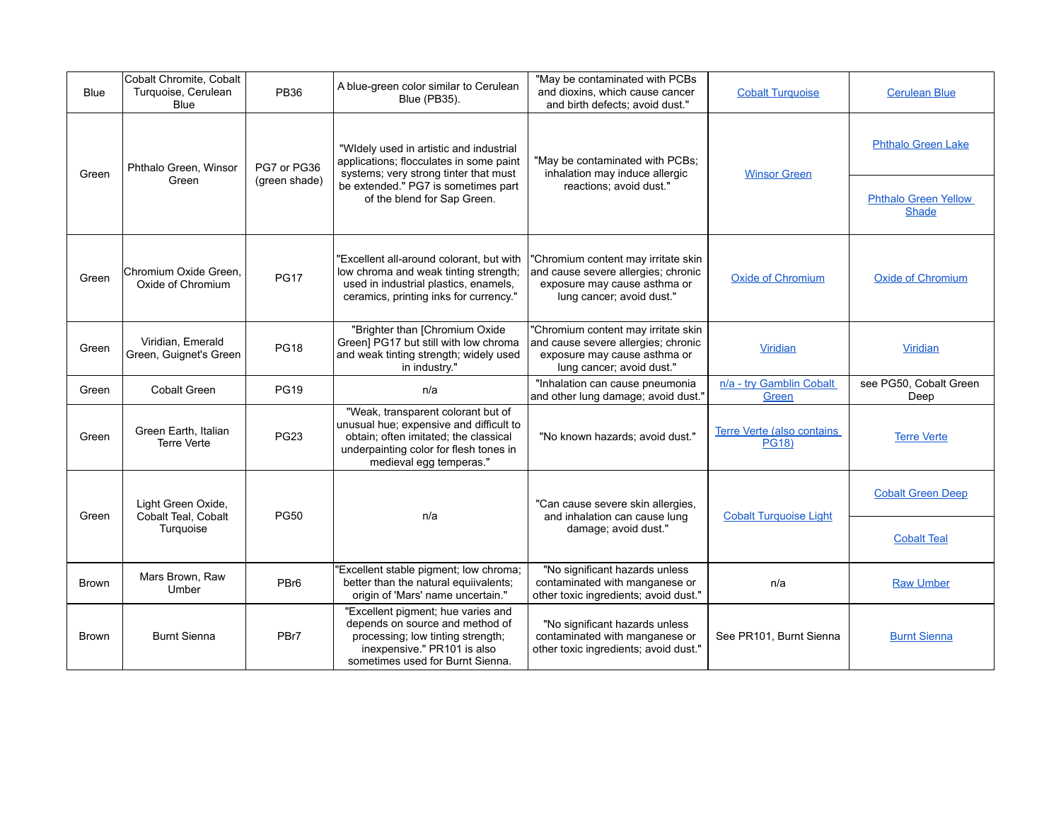| <b>Blue</b>  | Cobalt Chromite, Cobalt<br>Turquoise, Cerulean<br><b>Blue</b> | <b>PB36</b>      | A blue-green color similar to Cerulean<br><b>Blue (PB35).</b>                                                                                                                               | "May be contaminated with PCBs<br>and dioxins, which cause cancer<br>and birth defects: avoid dust."                                    | <b>Cobalt Turquoise</b>                    | <b>Cerulean Blue</b>                        |
|--------------|---------------------------------------------------------------|------------------|---------------------------------------------------------------------------------------------------------------------------------------------------------------------------------------------|-----------------------------------------------------------------------------------------------------------------------------------------|--------------------------------------------|---------------------------------------------|
| Green        | Phthalo Green, Winsor                                         | PG7 or PG36      | "Widely used in artistic and industrial<br>applications; flocculates in some paint<br>systems; very strong tinter that must                                                                 | "May be contaminated with PCBs;<br>inhalation may induce allergic                                                                       | <b>Winsor Green</b>                        | <b>Phthalo Green Lake</b>                   |
|              | Green                                                         | (green shade)    | be extended." PG7 is sometimes part<br>of the blend for Sap Green.                                                                                                                          | reactions: avoid dust."                                                                                                                 |                                            | <b>Phthalo Green Yellow</b><br><b>Shade</b> |
| Green        | Chromium Oxide Green.<br>Oxide of Chromium                    | <b>PG17</b>      | 'Excellent all-around colorant, but with<br>low chroma and weak tinting strength;<br>used in industrial plastics, enamels,<br>ceramics, printing inks for currency."                        | "Chromium content may irritate skin<br>and cause severe allergies; chronic<br>exposure may cause asthma or<br>lung cancer; avoid dust." | <b>Oxide of Chromium</b>                   | <b>Oxide of Chromium</b>                    |
| Green        | Viridian. Emerald<br>Green, Guignet's Green                   | <b>PG18</b>      | "Brighter than [Chromium Oxide<br>Green] PG17 but still with low chroma<br>and weak tinting strength; widely used<br>in industry."                                                          | "Chromium content may irritate skin<br>and cause severe allergies; chronic<br>exposure may cause asthma or<br>lung cancer; avoid dust." | <b>Viridian</b>                            | Viridian                                    |
| Green        | <b>Cobalt Green</b>                                           | <b>PG19</b>      | n/a                                                                                                                                                                                         | "Inhalation can cause pneumonia<br>and other lung damage; avoid dust."                                                                  | n/a - try Gamblin Cobalt<br>Green          | see PG50, Cobalt Green<br>Deep              |
| Green        | Green Earth, Italian<br><b>Terre Verte</b>                    | <b>PG23</b>      | "Weak, transparent colorant but of<br>unusual hue; expensive and difficult to<br>obtain; often imitated; the classical<br>underpainting color for flesh tones in<br>medieval egg temperas." | "No known hazards; avoid dust."                                                                                                         | Terre Verte (also contains<br><b>PG18)</b> | <b>Terre Verte</b>                          |
| Green        | Light Green Oxide,                                            |                  | n/a                                                                                                                                                                                         | "Can cause severe skin allergies,                                                                                                       | <b>Cobalt Turquoise Light</b>              | <b>Cobalt Green Deep</b>                    |
|              | Cobalt Teal, Cobalt<br>Turquoise                              | <b>PG50</b>      |                                                                                                                                                                                             | and inhalation can cause lung<br>damage; avoid dust."                                                                                   |                                            | <b>Cobalt Teal</b>                          |
| Brown        | Mars Brown, Raw<br>Umber                                      | PBr <sub>6</sub> | 'Excellent stable pigment; low chroma;<br>better than the natural equiivalents;<br>origin of 'Mars' name uncertain."                                                                        | "No significant hazards unless<br>contaminated with manganese or<br>other toxic ingredients; avoid dust."                               | n/a                                        | <b>Raw Umber</b>                            |
| <b>Brown</b> | <b>Burnt Sienna</b>                                           | PBr7             | "Excellent pigment; hue varies and<br>depends on source and method of<br>processing; low tinting strength;<br>inexpensive." PR101 is also<br>sometimes used for Burnt Sienna.               | "No significant hazards unless<br>contaminated with manganese or<br>other toxic ingredients; avoid dust."                               | See PR101, Burnt Sienna                    | <b>Burnt Sienna</b>                         |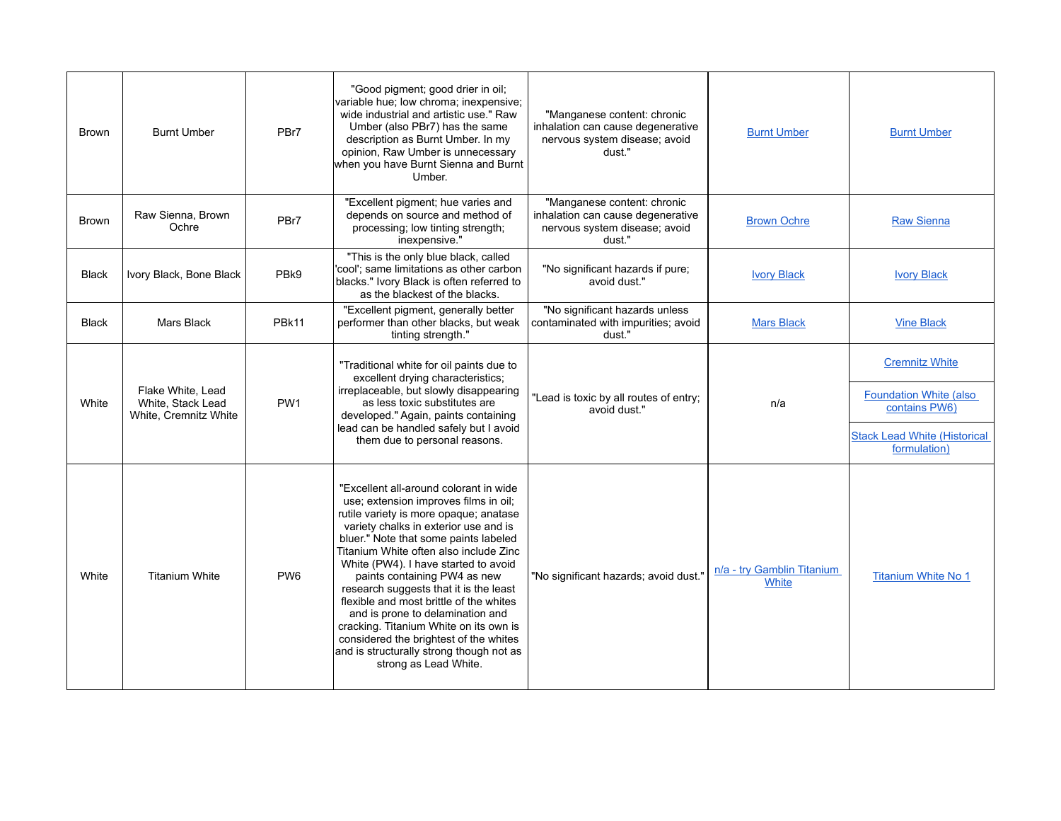| <b>Brown</b> | <b>Burnt Umber</b>                                              | PBr7             | "Good pigment; good drier in oil;<br>variable hue; low chroma; inexpensive;<br>wide industrial and artistic use." Raw<br>Umber (also PBr7) has the same<br>description as Burnt Umber. In my<br>opinion, Raw Umber is unnecessary<br>when you have Burnt Sienna and Burnt<br>Umber.                                                                                                                                                                                                                                          | "Manganese content: chronic<br>inhalation can cause degenerative<br>nervous system disease; avoid<br>dust." | <b>Burnt Umber</b>                  | <b>Burnt Umber</b>                                                                                              |
|--------------|-----------------------------------------------------------------|------------------|------------------------------------------------------------------------------------------------------------------------------------------------------------------------------------------------------------------------------------------------------------------------------------------------------------------------------------------------------------------------------------------------------------------------------------------------------------------------------------------------------------------------------|-------------------------------------------------------------------------------------------------------------|-------------------------------------|-----------------------------------------------------------------------------------------------------------------|
| Brown        | Raw Sienna, Brown<br>Ochre                                      | PBr7             | "Excellent pigment; hue varies and<br>depends on source and method of<br>processing; low tinting strength;<br>inexpensive."                                                                                                                                                                                                                                                                                                                                                                                                  | "Manganese content: chronic<br>inhalation can cause degenerative<br>nervous system disease; avoid<br>dust." | <b>Brown Ochre</b>                  | <b>Raw Sienna</b>                                                                                               |
| <b>Black</b> | Ivory Black, Bone Black                                         | PB <sub>k9</sub> | "This is the only blue black, called<br>'cool'; same limitations as other carbon<br>blacks." Ivory Black is often referred to<br>as the blackest of the blacks.                                                                                                                                                                                                                                                                                                                                                              | "No significant hazards if pure;<br>avoid dust."                                                            | <b>Ivory Black</b>                  | <b>Ivory Black</b>                                                                                              |
| <b>Black</b> | Mars Black                                                      | PBk11            | "Excellent pigment, generally better<br>performer than other blacks, but weak<br>tinting strength."                                                                                                                                                                                                                                                                                                                                                                                                                          | "No significant hazards unless<br>contaminated with impurities; avoid<br>dust."                             | <b>Mars Black</b>                   | <b>Vine Black</b>                                                                                               |
| White        | Flake White, Lead<br>White, Stack Lead<br>White, Cremnitz White | PW <sub>1</sub>  | "Traditional white for oil paints due to<br>excellent drying characteristics;<br>irreplaceable, but slowly disappearing<br>as less toxic substitutes are<br>developed." Again, paints containing<br>lead can be handled safely but I avoid<br>them due to personal reasons.                                                                                                                                                                                                                                                  | "Lead is toxic by all routes of entry;<br>avoid dust."                                                      | n/a                                 | <b>Cremnitz White</b><br><b>Foundation White (also)</b><br>contains PW6)<br><b>Stack Lead White (Historical</b> |
|              |                                                                 |                  | "Excellent all-around colorant in wide<br>use; extension improves films in oil;                                                                                                                                                                                                                                                                                                                                                                                                                                              |                                                                                                             |                                     | formulation)                                                                                                    |
| White        | <b>Titanium White</b>                                           | PW <sub>6</sub>  | rutile variety is more opaque; anatase<br>variety chalks in exterior use and is<br>bluer." Note that some paints labeled<br>Titanium White often also include Zinc<br>White (PW4). I have started to avoid<br>paints containing PW4 as new<br>research suggests that it is the least<br>flexible and most brittle of the whites<br>and is prone to delamination and<br>cracking. Titanium White on its own is<br>considered the brightest of the whites<br>and is structurally strong though not as<br>strong as Lead White. | "No significant hazards; avoid dust."                                                                       | n/a - try Gamblin Titanium<br>White | <b>Titanium White No 1</b>                                                                                      |